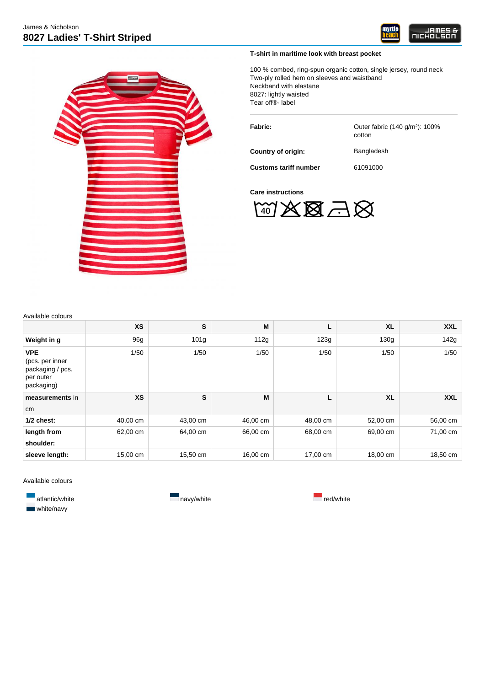



## **T-shirt in maritime look with breast pocket**

100 % combed, ring-spun organic cotton, single jersey, round neck Two-ply rolled hem on sleeves and waistband Neckband with elastane 8027: lightly waisted Tear off®- label

Fabric: **Fabric:** Outer fabric (140 g/m<sup>2</sup>): 100% cotton **Country of origin:** Bangladesh **Customs tariff number** 61091000

**Care instructions**



Available colours

| , waliawio ooloaro                                                           |           |                  |          |          |                  |            |
|------------------------------------------------------------------------------|-----------|------------------|----------|----------|------------------|------------|
|                                                                              | <b>XS</b> | S                | M        | Г        | <b>XL</b>        | <b>XXL</b> |
| Weight in g                                                                  | 96g       | 101 <sub>q</sub> | 112g     | 123g     | 130 <sub>g</sub> | 142g       |
| <b>VPE</b><br>(pcs. per inner<br>packaging / pcs.<br>per outer<br>packaging) | 1/50      | 1/50             | 1/50     | 1/50     | 1/50             | 1/50       |
| measurements in                                                              | <b>XS</b> | S                | M        | Г        | <b>XL</b>        | <b>XXL</b> |
| cm                                                                           |           |                  |          |          |                  |            |
| $1/2$ chest:                                                                 | 40,00 cm  | 43,00 cm         | 46,00 cm | 48,00 cm | 52,00 cm         | 56,00 cm   |
| length from                                                                  | 62,00 cm  | 64,00 cm         | 66,00 cm | 68,00 cm | 69,00 cm         | 71,00 cm   |
| shoulder:                                                                    |           |                  |          |          |                  |            |
| sleeve length:                                                               | 15,00 cm  | 15,50 cm         | 16,00 cm | 17,00 cm | 18,00 cm         | 18,50 cm   |

Available colours

**atlantic/white** navy/white **navy/white** navy/white red/white **White/navy**